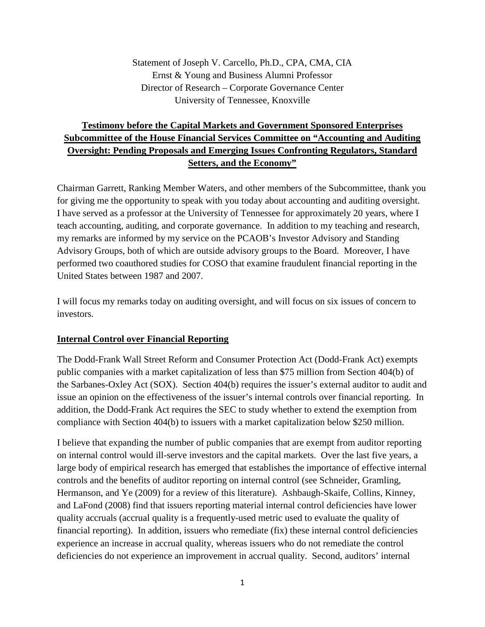Statement of Joseph V. Carcello, Ph.D., CPA, CMA, CIA Ernst & Young and Business Alumni Professor Director of Research – Corporate Governance Center University of Tennessee, Knoxville

## **Testimony before the Capital Markets and Government Sponsored Enterprises Subcommittee of the House Financial Services Committee on "Accounting and Auditing Oversight: Pending Proposals and Emerging Issues Confronting Regulators, Standard Setters, and the Economy"**

Chairman Garrett, Ranking Member Waters, and other members of the Subcommittee, thank you for giving me the opportunity to speak with you today about accounting and auditing oversight. I have served as a professor at the University of Tennessee for approximately 20 years, where I teach accounting, auditing, and corporate governance. In addition to my teaching and research, my remarks are informed by my service on the PCAOB's Investor Advisory and Standing Advisory Groups, both of which are outside advisory groups to the Board. Moreover, I have performed two coauthored studies for COSO that examine fraudulent financial reporting in the United States between 1987 and 2007.

I will focus my remarks today on auditing oversight, and will focus on six issues of concern to investors.

#### **Internal Control over Financial Reporting**

The Dodd-Frank Wall Street Reform and Consumer Protection Act (Dodd-Frank Act) exempts public companies with a market capitalization of less than \$75 million from Section 404(b) of the Sarbanes-Oxley Act (SOX). Section 404(b) requires the issuer's external auditor to audit and issue an opinion on the effectiveness of the issuer's internal controls over financial reporting. In addition, the Dodd-Frank Act requires the SEC to study whether to extend the exemption from compliance with Section 404(b) to issuers with a market capitalization below \$250 million.

I believe that expanding the number of public companies that are exempt from auditor reporting on internal control would ill-serve investors and the capital markets. Over the last five years, a large body of empirical research has emerged that establishes the importance of effective internal controls and the benefits of auditor reporting on internal control (see Schneider, Gramling, Hermanson, and Ye (2009) for a review of this literature). Ashbaugh-Skaife, Collins, Kinney, and LaFond (2008) find that issuers reporting material internal control deficiencies have lower quality accruals (accrual quality is a frequently-used metric used to evaluate the quality of financial reporting). In addition, issuers who remediate (fix) these internal control deficiencies experience an increase in accrual quality, whereas issuers who do not remediate the control deficiencies do not experience an improvement in accrual quality. Second, auditors' internal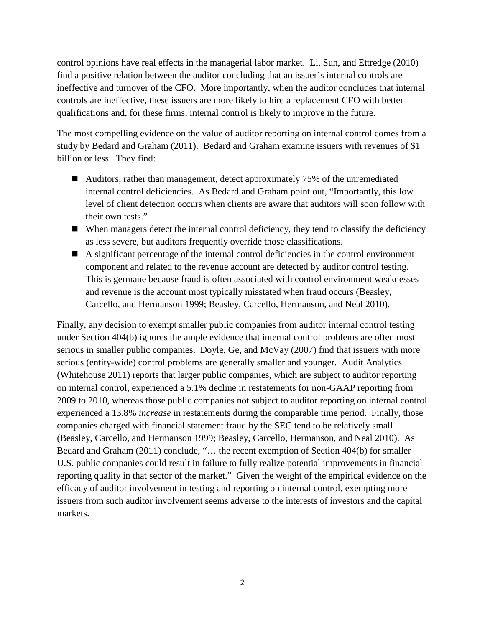control opinions have real effects in the managerial labor market. Li, Sun, and Ettredge (2010) find a positive relation between the auditor concluding that an issuer's internal controls are ineffective and turnover of the CFO. More importantly, when the auditor concludes that internal controls are ineffective, these issuers are more likely to hire a replacement CFO with better qualifications and, for these firms, internal control is likely to improve in the future.

The most compelling evidence on the value of auditor reporting on internal control comes from a study by Bedard and Graham (2011). Bedard and Graham examine issuers with revenues of \$1 billion or less. They find:

- Auditors, rather than management, detect approximately 75% of the unremediated internal control deficiencies. As Bedard and Graham point out, "Importantly, this low level of client detection occurs when clients are aware that auditors will soon follow with their own tests."
- $\blacksquare$  When managers detect the internal control deficiency, they tend to classify the deficiency as less severe, but auditors frequently override those classifications.
- A significant percentage of the internal control deficiencies in the control environment component and related to the revenue account are detected by auditor control testing. This is germane because fraud is often associated with control environment weaknesses and revenue is the account most typically misstated when fraud occurs (Beasley, Carcello, and Hermanson 1999; Beasley, Carcello, Hermanson, and Neal 2010).

Finally, any decision to exempt smaller public companies from auditor internal control testing under Section 404(b) ignores the ample evidence that internal control problems are often most serious in smaller public companies. Doyle, Ge, and McVay (2007) find that issuers with more serious (entity-wide) control problems are generally smaller and younger. Audit Analytics (Whitehouse 2011) reports that larger public companies, which are subject to auditor reporting on internal control, experienced a 5.1% decline in restatements for non-GAAP reporting from 2009 to 2010, whereas those public companies not subject to auditor reporting on internal control experienced a 13.8% *increase* in restatements during the comparable time period. Finally, those companies charged with financial statement fraud by the SEC tend to be relatively small (Beasley, Carcello, and Hermanson 1999; Beasley, Carcello, Hermanson, and Neal 2010). As Bedard and Graham (2011) conclude, "… the recent exemption of Section 404(b) for smaller U.S. public companies could result in failure to fully realize potential improvements in financial reporting quality in that sector of the market." Given the weight of the empirical evidence on the efficacy of auditor involvement in testing and reporting on internal control, exempting more issuers from such auditor involvement seems adverse to the interests of investors and the capital markets.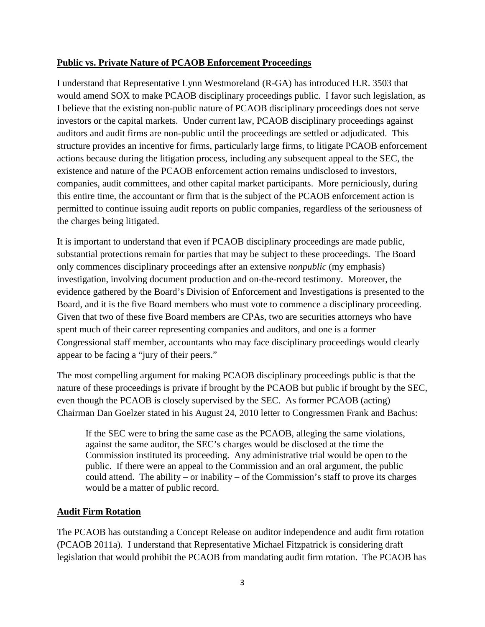#### **Public vs. Private Nature of PCAOB Enforcement Proceedings**

I understand that Representative Lynn Westmoreland (R-GA) has introduced H.R. 3503 that would amend SOX to make PCAOB disciplinary proceedings public. I favor such legislation, as I believe that the existing non-public nature of PCAOB disciplinary proceedings does not serve investors or the capital markets. Under current law, PCAOB disciplinary proceedings against auditors and audit firms are non-public until the proceedings are settled or adjudicated. This structure provides an incentive for firms, particularly large firms, to litigate PCAOB enforcement actions because during the litigation process, including any subsequent appeal to the SEC, the existence and nature of the PCAOB enforcement action remains undisclosed to investors, companies, audit committees, and other capital market participants. More perniciously, during this entire time, the accountant or firm that is the subject of the PCAOB enforcement action is permitted to continue issuing audit reports on public companies, regardless of the seriousness of the charges being litigated.

It is important to understand that even if PCAOB disciplinary proceedings are made public, substantial protections remain for parties that may be subject to these proceedings. The Board only commences disciplinary proceedings after an extensive *nonpublic* (my emphasis) investigation, involving document production and on-the-record testimony. Moreover, the evidence gathered by the Board's Division of Enforcement and Investigations is presented to the Board, and it is the five Board members who must vote to commence a disciplinary proceeding. Given that two of these five Board members are CPAs, two are securities attorneys who have spent much of their career representing companies and auditors, and one is a former Congressional staff member, accountants who may face disciplinary proceedings would clearly appear to be facing a "jury of their peers."

The most compelling argument for making PCAOB disciplinary proceedings public is that the nature of these proceedings is private if brought by the PCAOB but public if brought by the SEC, even though the PCAOB is closely supervised by the SEC. As former PCAOB (acting) Chairman Dan Goelzer stated in his August 24, 2010 letter to Congressmen Frank and Bachus:

If the SEC were to bring the same case as the PCAOB, alleging the same violations, against the same auditor, the SEC's charges would be disclosed at the time the Commission instituted its proceeding. Any administrative trial would be open to the public. If there were an appeal to the Commission and an oral argument, the public could attend. The ability – or inability – of the Commission's staff to prove its charges would be a matter of public record.

#### **Audit Firm Rotation**

The PCAOB has outstanding a Concept Release on auditor independence and audit firm rotation (PCAOB 2011a). I understand that Representative Michael Fitzpatrick is considering draft legislation that would prohibit the PCAOB from mandating audit firm rotation. The PCAOB has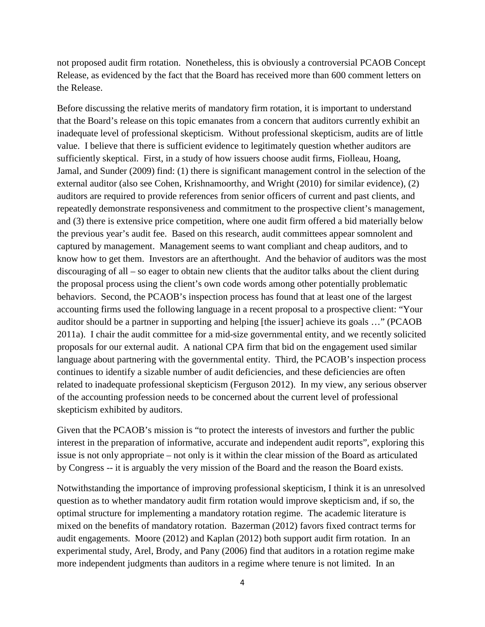not proposed audit firm rotation. Nonetheless, this is obviously a controversial PCAOB Concept Release, as evidenced by the fact that the Board has received more than 600 comment letters on the Release.

Before discussing the relative merits of mandatory firm rotation, it is important to understand that the Board's release on this topic emanates from a concern that auditors currently exhibit an inadequate level of professional skepticism. Without professional skepticism, audits are of little value. I believe that there is sufficient evidence to legitimately question whether auditors are sufficiently skeptical. First, in a study of how issuers choose audit firms, Fiolleau, Hoang, Jamal, and Sunder (2009) find: (1) there is significant management control in the selection of the external auditor (also see Cohen, Krishnamoorthy, and Wright (2010) for similar evidence), (2) auditors are required to provide references from senior officers of current and past clients, and repeatedly demonstrate responsiveness and commitment to the prospective client's management, and (3) there is extensive price competition, where one audit firm offered a bid materially below the previous year's audit fee. Based on this research, audit committees appear somnolent and captured by management. Management seems to want compliant and cheap auditors, and to know how to get them. Investors are an afterthought. And the behavior of auditors was the most discouraging of all – so eager to obtain new clients that the auditor talks about the client during the proposal process using the client's own code words among other potentially problematic behaviors. Second, the PCAOB's inspection process has found that at least one of the largest accounting firms used the following language in a recent proposal to a prospective client: "Your auditor should be a partner in supporting and helping [the issuer] achieve its goals …" (PCAOB 2011a). I chair the audit committee for a mid-size governmental entity, and we recently solicited proposals for our external audit. A national CPA firm that bid on the engagement used similar language about partnering with the governmental entity. Third, the PCAOB's inspection process continues to identify a sizable number of audit deficiencies, and these deficiencies are often related to inadequate professional skepticism (Ferguson 2012). In my view, any serious observer of the accounting profession needs to be concerned about the current level of professional skepticism exhibited by auditors.

Given that the PCAOB's mission is "to protect the interests of investors and further the public interest in the preparation of informative, accurate and independent audit reports", exploring this issue is not only appropriate – not only is it within the clear mission of the Board as articulated by Congress -- it is arguably the very mission of the Board and the reason the Board exists.

Notwithstanding the importance of improving professional skepticism, I think it is an unresolved question as to whether mandatory audit firm rotation would improve skepticism and, if so, the optimal structure for implementing a mandatory rotation regime. The academic literature is mixed on the benefits of mandatory rotation. Bazerman (2012) favors fixed contract terms for audit engagements. Moore (2012) and Kaplan (2012) both support audit firm rotation. In an experimental study, Arel, Brody, and Pany (2006) find that auditors in a rotation regime make more independent judgments than auditors in a regime where tenure is not limited. In an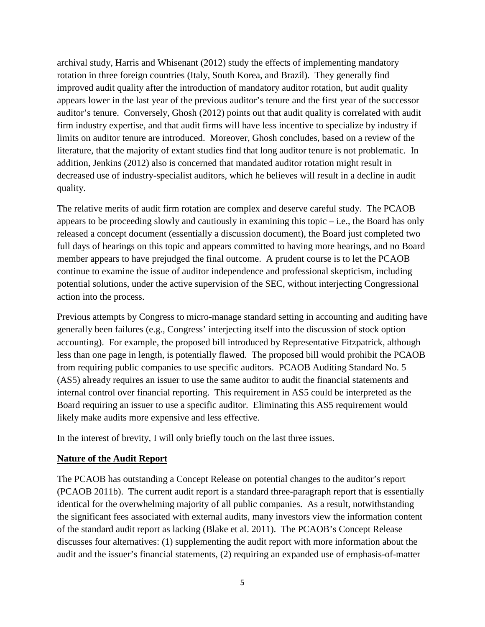archival study, Harris and Whisenant (2012) study the effects of implementing mandatory rotation in three foreign countries (Italy, South Korea, and Brazil). They generally find improved audit quality after the introduction of mandatory auditor rotation, but audit quality appears lower in the last year of the previous auditor's tenure and the first year of the successor auditor's tenure. Conversely, Ghosh (2012) points out that audit quality is correlated with audit firm industry expertise, and that audit firms will have less incentive to specialize by industry if limits on auditor tenure are introduced. Moreover, Ghosh concludes, based on a review of the literature, that the majority of extant studies find that long auditor tenure is not problematic. In addition, Jenkins (2012) also is concerned that mandated auditor rotation might result in decreased use of industry-specialist auditors, which he believes will result in a decline in audit quality.

The relative merits of audit firm rotation are complex and deserve careful study. The PCAOB appears to be proceeding slowly and cautiously in examining this topic  $-$  i.e., the Board has only released a concept document (essentially a discussion document), the Board just completed two full days of hearings on this topic and appears committed to having more hearings, and no Board member appears to have prejudged the final outcome. A prudent course is to let the PCAOB continue to examine the issue of auditor independence and professional skepticism, including potential solutions, under the active supervision of the SEC, without interjecting Congressional action into the process.

Previous attempts by Congress to micro-manage standard setting in accounting and auditing have generally been failures (e.g., Congress' interjecting itself into the discussion of stock option accounting). For example, the proposed bill introduced by Representative Fitzpatrick, although less than one page in length, is potentially flawed. The proposed bill would prohibit the PCAOB from requiring public companies to use specific auditors. PCAOB Auditing Standard No. 5 (AS5) already requires an issuer to use the same auditor to audit the financial statements and internal control over financial reporting. This requirement in AS5 could be interpreted as the Board requiring an issuer to use a specific auditor. Eliminating this AS5 requirement would likely make audits more expensive and less effective.

In the interest of brevity, I will only briefly touch on the last three issues.

#### **Nature of the Audit Report**

The PCAOB has outstanding a Concept Release on potential changes to the auditor's report (PCAOB 2011b). The current audit report is a standard three-paragraph report that is essentially identical for the overwhelming majority of all public companies. As a result, notwithstanding the significant fees associated with external audits, many investors view the information content of the standard audit report as lacking (Blake et al. 2011). The PCAOB's Concept Release discusses four alternatives: (1) supplementing the audit report with more information about the audit and the issuer's financial statements, (2) requiring an expanded use of emphasis-of-matter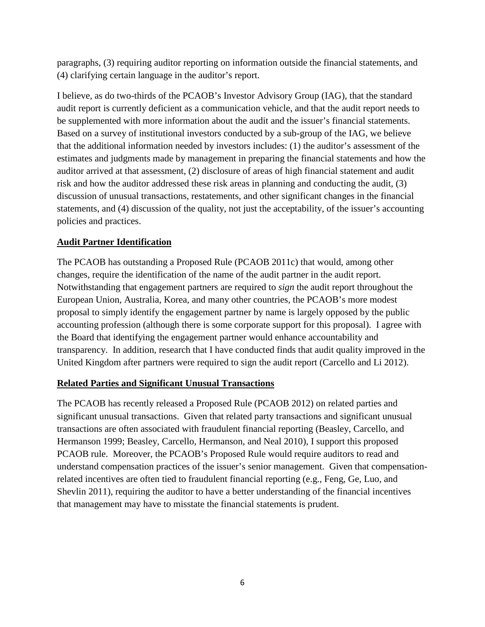paragraphs, (3) requiring auditor reporting on information outside the financial statements, and (4) clarifying certain language in the auditor's report.

I believe, as do two-thirds of the PCAOB's Investor Advisory Group (IAG), that the standard audit report is currently deficient as a communication vehicle, and that the audit report needs to be supplemented with more information about the audit and the issuer's financial statements. Based on a survey of institutional investors conducted by a sub-group of the IAG, we believe that the additional information needed by investors includes: (1) the auditor's assessment of the estimates and judgments made by management in preparing the financial statements and how the auditor arrived at that assessment, (2) disclosure of areas of high financial statement and audit risk and how the auditor addressed these risk areas in planning and conducting the audit, (3) discussion of unusual transactions, restatements, and other significant changes in the financial statements, and (4) discussion of the quality, not just the acceptability, of the issuer's accounting policies and practices.

### **Audit Partner Identification**

The PCAOB has outstanding a Proposed Rule (PCAOB 2011c) that would, among other changes, require the identification of the name of the audit partner in the audit report. Notwithstanding that engagement partners are required to *sign* the audit report throughout the European Union, Australia, Korea, and many other countries, the PCAOB's more modest proposal to simply identify the engagement partner by name is largely opposed by the public accounting profession (although there is some corporate support for this proposal). I agree with the Board that identifying the engagement partner would enhance accountability and transparency. In addition, research that I have conducted finds that audit quality improved in the United Kingdom after partners were required to sign the audit report (Carcello and Li 2012).

#### **Related Parties and Significant Unusual Transactions**

The PCAOB has recently released a Proposed Rule (PCAOB 2012) on related parties and significant unusual transactions. Given that related party transactions and significant unusual transactions are often associated with fraudulent financial reporting (Beasley, Carcello, and Hermanson 1999; Beasley, Carcello, Hermanson, and Neal 2010), I support this proposed PCAOB rule. Moreover, the PCAOB's Proposed Rule would require auditors to read and understand compensation practices of the issuer's senior management. Given that compensationrelated incentives are often tied to fraudulent financial reporting (e.g., Feng, Ge, Luo, and Shevlin 2011), requiring the auditor to have a better understanding of the financial incentives that management may have to misstate the financial statements is prudent.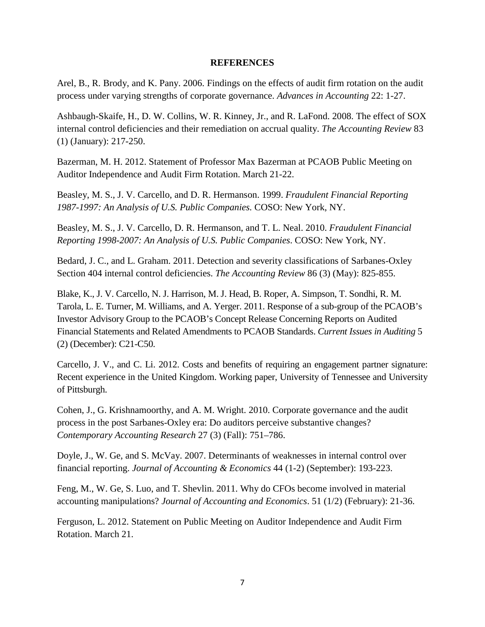#### **REFERENCES**

Arel, B., R. Brody, and K. Pany. 2006. Findings on the effects of audit firm rotation on the audit process under varying strengths of corporate governance. *Advances in Accounting* 22: 1-27.

Ashbaugh-Skaife, H., D. W. Collins, W. R. Kinney, Jr., and R. LaFond. 2008. The effect of SOX internal control deficiencies and their remediation on accrual quality. *The Accounting Review* 83 (1) (January): 217-250.

Bazerman, M. H. 2012. Statement of Professor Max Bazerman at PCAOB Public Meeting on Auditor Independence and Audit Firm Rotation. March 21-22.

Beasley, M. S., J. V. Carcello, and D. R. Hermanson. 1999. *Fraudulent Financial Reporting 1987-1997: An Analysis of U.S. Public Companies.* COSO: New York, NY.

Beasley, M. S., J. V. Carcello, D. R. Hermanson, and T. L. Neal. 2010. *Fraudulent Financial Reporting 1998-2007: An Analysis of U.S. Public Companies*. COSO: New York, NY.

Bedard, J. C., and L. Graham. 2011. Detection and severity classifications of Sarbanes-Oxley Section 404 internal control deficiencies. *The Accounting Review* 86 (3) (May): 825-855.

Blake, K., J. V. Carcello, N. J. Harrison, M. J. Head, B. Roper, A. Simpson, T. Sondhi, R. M. Tarola, L. E. Turner, M. Williams, and A. Yerger. 2011. Response of a sub-group of the PCAOB's Investor Advisory Group to the PCAOB's Concept Release Concerning Reports on Audited Financial Statements and Related Amendments to PCAOB Standards. *Current Issues in Auditing* 5 (2) (December): C21-C50.

Carcello, J. V., and C. Li. 2012. Costs and benefits of requiring an engagement partner signature: Recent experience in the United Kingdom. Working paper, University of Tennessee and University of Pittsburgh.

Cohen, J., G. Krishnamoorthy, and A. M. Wright. 2010. Corporate governance and the audit process in the post Sarbanes-Oxley era: Do auditors perceive substantive changes? *Contemporary Accounting Research* 27 (3) (Fall): 751–786.

Doyle, J., W. Ge, and S. McVay. 2007. Determinants of weaknesses in internal control over financial reporting. *Journal of Accounting & Economics* 44 (1-2) (September): 193-223.

Feng, M., W. Ge, S. Luo, and T. Shevlin. 2011. Why do CFOs become involved in material accounting manipulations? *Journal of Accounting and Economics*. 51 (1/2) (February): 21-36.

Ferguson, L. 2012. Statement on Public Meeting on Auditor Independence and Audit Firm Rotation. March 21.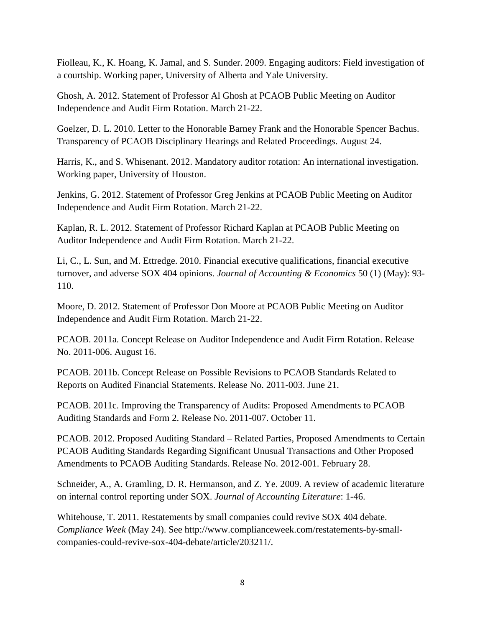Fiolleau, K., K. Hoang, K. Jamal, and S. Sunder. 2009. Engaging auditors: Field investigation of a courtship. Working paper, University of Alberta and Yale University.

Ghosh, A. 2012. Statement of Professor Al Ghosh at PCAOB Public Meeting on Auditor Independence and Audit Firm Rotation. March 21-22.

Goelzer, D. L. 2010. Letter to the Honorable Barney Frank and the Honorable Spencer Bachus. Transparency of PCAOB Disciplinary Hearings and Related Proceedings. August 24.

Harris, K., and S. Whisenant. 2012. Mandatory auditor rotation: An international investigation. Working paper, University of Houston.

Jenkins, G. 2012. Statement of Professor Greg Jenkins at PCAOB Public Meeting on Auditor Independence and Audit Firm Rotation. March 21-22.

Kaplan, R. L. 2012. Statement of Professor Richard Kaplan at PCAOB Public Meeting on Auditor Independence and Audit Firm Rotation. March 21-22.

Li, C., L. Sun, and M. Ettredge. 2010. Financial executive qualifications, financial executive turnover, and adverse SOX 404 opinions. *Journal of Accounting & Economics* 50 (1) (May): 93- 110.

Moore, D. 2012. Statement of Professor Don Moore at PCAOB Public Meeting on Auditor Independence and Audit Firm Rotation. March 21-22.

PCAOB. 2011a. Concept Release on Auditor Independence and Audit Firm Rotation. Release No. 2011-006. August 16.

PCAOB. 2011b. Concept Release on Possible Revisions to PCAOB Standards Related to Reports on Audited Financial Statements. Release No. 2011-003. June 21.

PCAOB. 2011c. Improving the Transparency of Audits: Proposed Amendments to PCAOB Auditing Standards and Form 2. Release No. 2011-007. October 11.

PCAOB. 2012. Proposed Auditing Standard – Related Parties, Proposed Amendments to Certain PCAOB Auditing Standards Regarding Significant Unusual Transactions and Other Proposed Amendments to PCAOB Auditing Standards. Release No. 2012-001. February 28.

Schneider, A., A. Gramling, D. R. Hermanson, and Z. Ye. 2009. A review of academic literature on internal control reporting under SOX. *Journal of Accounting Literature*: 1-46.

Whitehouse, T. 2011. Restatements by small companies could revive SOX 404 debate. *Compliance Week* (May 24). See http://www.complianceweek.com/restatements-by-smallcompanies-could-revive-sox-404-debate/article/203211/.